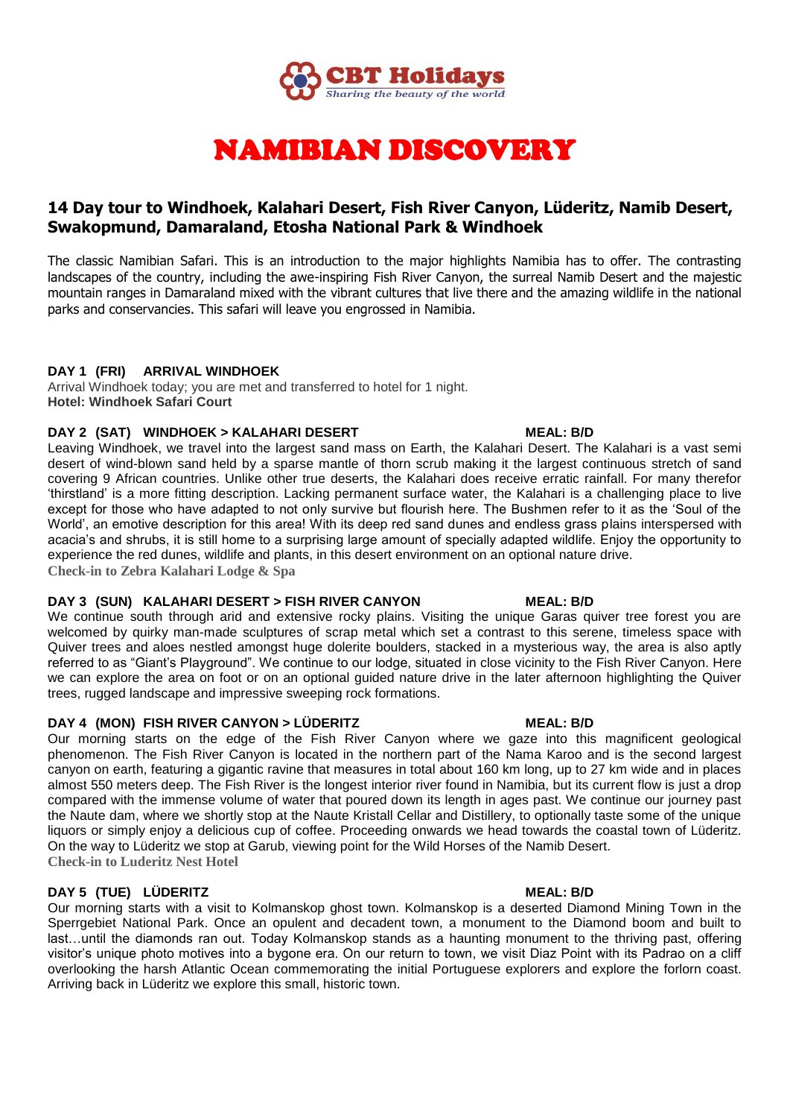

# NAMIBIAN DISCOVERY

# **14 Day tour to Windhoek, Kalahari Desert, Fish River Canyon, Lüderitz, Namib Desert, Swakopmund, Damaraland, Etosha National Park & Windhoek**

The classic Namibian Safari. This is an introduction to the major highlights Namibia has to offer. The contrasting landscapes of the country, including the awe-inspiring Fish River Canyon, the surreal Namib Desert and the majestic mountain ranges in Damaraland mixed with the vibrant cultures that live there and the amazing wildlife in the national parks and conservancies. This safari will leave you engrossed in Namibia.

# **DAY 1 (FRI) ARRIVAL WINDHOEK**

Arrival Windhoek today; you are met and transferred to hotel for 1 night. **Hotel: Windhoek Safari Court**

### **DAY 2 (SAT) WINDHOEK > KALAHARI DESERT MEAL: B/D**

Leaving Windhoek, we travel into the largest sand mass on Earth, the Kalahari Desert. The Kalahari is a vast semi desert of wind-blown sand held by a sparse mantle of thorn scrub making it the largest continuous stretch of sand covering 9 African countries. Unlike other true deserts, the Kalahari does receive erratic rainfall. For many therefor 'thirstland' is a more fitting description. Lacking permanent surface water, the Kalahari is a challenging place to live except for those who have adapted to not only survive but flourish here. The Bushmen refer to it as the 'Soul of the World', an emotive description for this area! With its deep red sand dunes and endless grass plains interspersed with acacia's and shrubs, it is still home to a surprising large amount of specially adapted wildlife. Enjoy the opportunity to experience the red dunes, wildlife and plants, in this desert environment on an optional nature drive. **Check-in to Zebra Kalahari Lodge & Spa**

### **DAY 3 (SUN) KALAHARI DESERT > FISH RIVER CANYON MEAL: B/D**

We continue south through arid and extensive rocky plains. Visiting the unique Garas quiver tree forest you are welcomed by quirky man-made sculptures of scrap metal which set a contrast to this serene, timeless space with Quiver trees and aloes nestled amongst huge dolerite boulders, stacked in a mysterious way, the area is also aptly referred to as "Giant's Playground". We continue to our lodge, situated in close vicinity to the Fish River Canyon. Here we can explore the area on foot or on an optional guided nature drive in the later afternoon highlighting the Quiver trees, rugged landscape and impressive sweeping rock formations.

# **DAY 4 (MON) FISH RIVER CANYON > LÜDERITZ MEAL: B/D**

Our morning starts on the edge of the Fish River Canyon where we gaze into this magnificent geological phenomenon. The Fish River Canyon is located in the northern part of the Nama Karoo and is the second largest canyon on earth, featuring a gigantic ravine that measures in total about 160 km long, up to 27 km wide and in places almost 550 meters deep. The Fish River is the longest interior river found in Namibia, but its current flow is just a drop compared with the immense volume of water that poured down its length in ages past. We continue our journey past the Naute dam, where we shortly stop at the Naute Kristall Cellar and Distillery, to optionally taste some of the unique liquors or simply enjoy a delicious cup of coffee. Proceeding onwards we head towards the coastal town of Lüderitz. On the way to Lüderitz we stop at Garub, viewing point for the Wild Horses of the Namib Desert. **Check-in to Luderitz Nest Hotel**

# **DAY 5 (TUE) LÜDERITZ MEAL: B/D**

Our morning starts with a visit to Kolmanskop ghost town. Kolmanskop is a deserted Diamond Mining Town in the Sperrgebiet National Park. Once an opulent and decadent town, a monument to the Diamond boom and built to last…until the diamonds ran out. Today Kolmanskop stands as a haunting monument to the thriving past, offering visitor's unique photo motives into a bygone era. On our return to town, we visit Diaz Point with its Padrao on a cliff overlooking the harsh Atlantic Ocean commemorating the initial Portuguese explorers and explore the forlorn coast. Arriving back in Lüderitz we explore this small, historic town.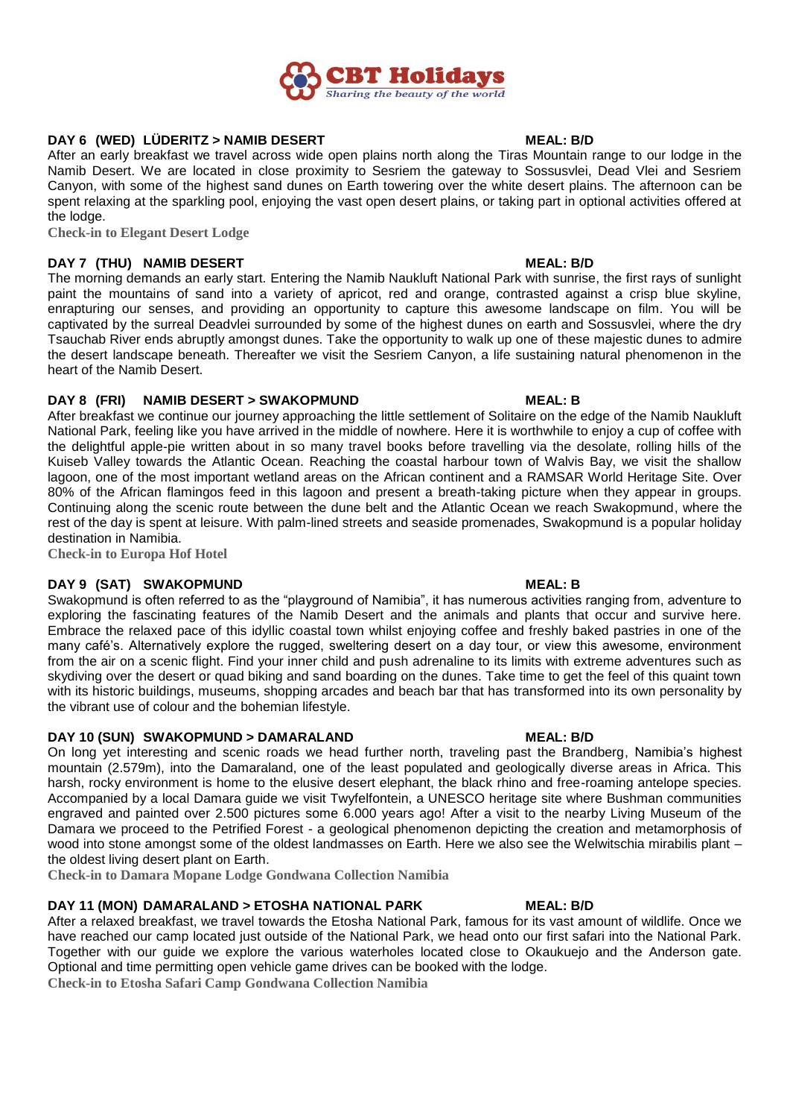

# **DAY 6 (WED) LÜDERITZ > NAMIB DESERT MEAL: B/D**

After an early breakfast we travel across wide open plains north along the Tiras Mountain range to our lodge in the Namib Desert. We are located in close proximity to Sesriem the gateway to Sossusvlei, Dead Vlei and Sesriem Canyon, with some of the highest sand dunes on Earth towering over the white desert plains. The afternoon can be spent relaxing at the sparkling pool, enjoying the vast open desert plains, or taking part in optional activities offered at the lodge.

**Check-in to Elegant Desert Lodge**

### **DAY 7 (THU) NAMIB DESERT MEAL: B/D**

The morning demands an early start. Entering the Namib Naukluft National Park with sunrise, the first rays of sunlight paint the mountains of sand into a variety of apricot, red and orange, contrasted against a crisp blue skyline, enrapturing our senses, and providing an opportunity to capture this awesome landscape on film. You will be captivated by the surreal Deadvlei surrounded by some of the highest dunes on earth and Sossusvlei, where the dry Tsauchab River ends abruptly amongst dunes. Take the opportunity to walk up one of these majestic dunes to admire the desert landscape beneath. Thereafter we visit the Sesriem Canyon, a life sustaining natural phenomenon in the heart of the Namib Desert.

### **DAY 8 (FRI) NAMIB DESERT > SWAKOPMUND MEAL: B**

After breakfast we continue our journey approaching the little settlement of Solitaire on the edge of the Namib Naukluft National Park, feeling like you have arrived in the middle of nowhere. Here it is worthwhile to enjoy a cup of coffee with the delightful apple-pie written about in so many travel books before travelling via the desolate, rolling hills of the Kuiseb Valley towards the Atlantic Ocean. Reaching the coastal harbour town of Walvis Bay, we visit the shallow lagoon, one of the most important wetland areas on the African continent and a RAMSAR World Heritage Site. Over 80% of the African flamingos feed in this lagoon and present a breath-taking picture when they appear in groups. Continuing along the scenic route between the dune belt and the Atlantic Ocean we reach Swakopmund, where the rest of the day is spent at leisure. With palm-lined streets and seaside promenades, Swakopmund is a popular holiday destination in Namibia.

**Check-in to Europa Hof Hotel**

# **DAY 9 (SAT) SWAKOPMUND MEAL: B**

Swakopmund is often referred to as the "playground of Namibia", it has numerous activities ranging from, adventure to exploring the fascinating features of the Namib Desert and the animals and plants that occur and survive here. Embrace the relaxed pace of this idyllic coastal town whilst enjoying coffee and freshly baked pastries in one of the many café's. Alternatively explore the rugged, sweltering desert on a day tour, or view this awesome, environment from the air on a scenic flight. Find your inner child and push adrenaline to its limits with extreme adventures such as skydiving over the desert or quad biking and sand boarding on the dunes. Take time to get the feel of this quaint town with its historic buildings, museums, shopping arcades and beach bar that has transformed into its own personality by the vibrant use of colour and the bohemian lifestyle.

### **DAY 10 (SUN) SWAKOPMUND > DAMARALAND MEAL: B/D**

On long yet interesting and scenic roads we head further north, traveling past the Brandberg, Namibia's highest mountain (2.579m), into the Damaraland, one of the least populated and geologically diverse areas in Africa. This harsh, rocky environment is home to the elusive desert elephant, the black rhino and free-roaming antelope species. Accompanied by a local Damara guide we visit Twyfelfontein, a UNESCO heritage site where Bushman communities engraved and painted over 2.500 pictures some 6.000 years ago! After a visit to the nearby Living Museum of the Damara we proceed to the Petrified Forest - a geological phenomenon depicting the creation and metamorphosis of wood into stone amongst some of the oldest landmasses on Earth. Here we also see the Welwitschia mirabilis plant – the oldest living desert plant on Earth.

**Check-in to Damara Mopane Lodge Gondwana Collection Namibia**

### **DAY 11 (MON) DAMARALAND > ETOSHA NATIONAL PARK MEAL: B/D**

After a relaxed breakfast, we travel towards the Etosha National Park, famous for its vast amount of wildlife. Once we have reached our camp located just outside of the National Park, we head onto our first safari into the National Park. Together with our guide we explore the various waterholes located close to Okaukuejo and the Anderson gate. Optional and time permitting open vehicle game drives can be booked with the lodge.

**Check-in to Etosha Safari Camp Gondwana Collection Namibia**